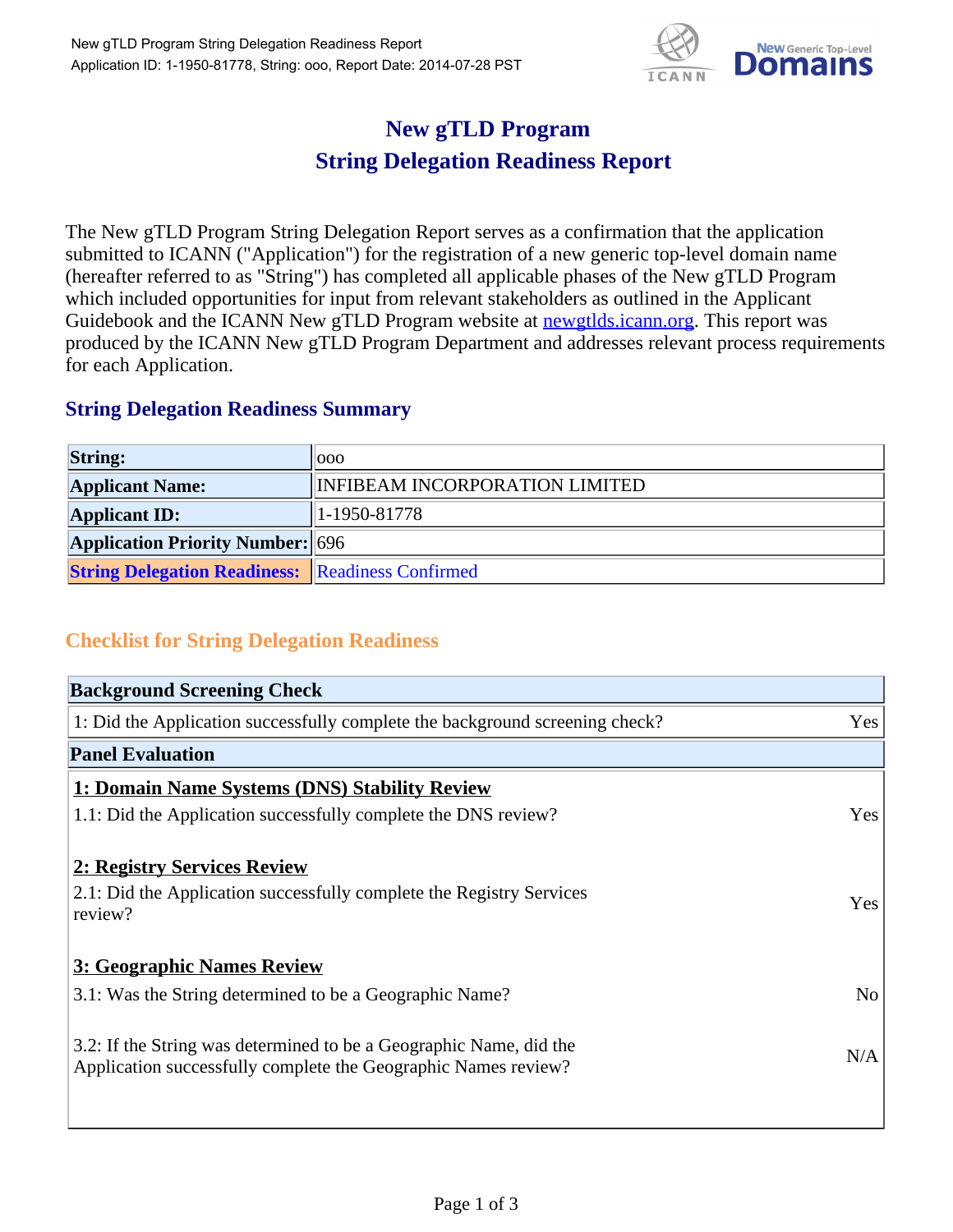

## **New gTLD Program String Delegation Readiness Report**

The New gTLD Program String Delegation Report serves as a confirmation that the application submitted to ICANN ("Application") for the registration of a new generic top-level domain name (hereafter referred to as "String") has completed all applicable phases of the New gTLD Program which included opportunities for input from relevant stakeholders as outlined in the Applicant Guidebook and the ICANN New gTLD Program website at newgtlds.icann.org. This report was produced by the ICANN New gTLD Program Department and addresses relevant process requirements for each Application.

## **String Delegation Readiness Summary**

| <b>String:</b>                                          | 000                            |
|---------------------------------------------------------|--------------------------------|
| <b>Applicant Name:</b>                                  | INFIBEAM INCORPORATION LIMITED |
| <b>Applicant ID:</b>                                    | $ 1-1950-81778 $               |
| <b>Application Priority Number: 696</b>                 |                                |
| <b>String Delegation Readiness:</b> Readiness Confirmed |                                |

## **Checklist for String Delegation Readiness**

| <b>Background Screening Check</b>                                                                                                    |                |
|--------------------------------------------------------------------------------------------------------------------------------------|----------------|
| 1: Did the Application successfully complete the background screening check?                                                         | Yes            |
| <b>Panel Evaluation</b>                                                                                                              |                |
| 1: Domain Name Systems (DNS) Stability Review                                                                                        |                |
| 1.1: Did the Application successfully complete the DNS review?                                                                       | Yes            |
|                                                                                                                                      |                |
| 2: Registry Services Review                                                                                                          |                |
| 2.1: Did the Application successfully complete the Registry Services<br>review?                                                      | Yes            |
| 3: Geographic Names Review                                                                                                           |                |
| 3.1: Was the String determined to be a Geographic Name?                                                                              | N <sub>o</sub> |
|                                                                                                                                      |                |
| 3.2: If the String was determined to be a Geographic Name, did the<br>Application successfully complete the Geographic Names review? | N/A            |
|                                                                                                                                      |                |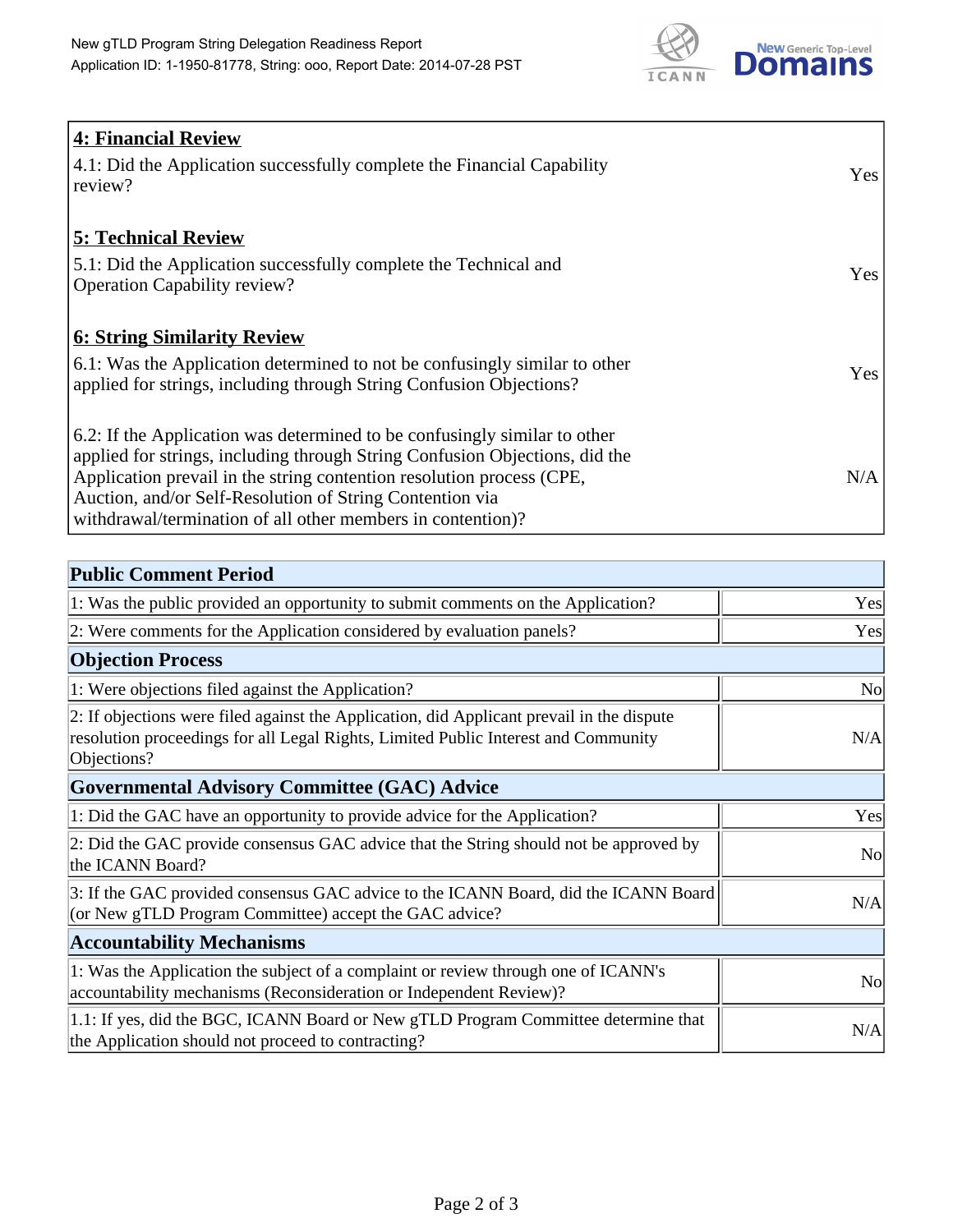

| <b>4: Financial Review</b><br>4.1: Did the Application successfully complete the Financial Capability<br>review?                                                                                                                                                                                                                                             | Yes |
|--------------------------------------------------------------------------------------------------------------------------------------------------------------------------------------------------------------------------------------------------------------------------------------------------------------------------------------------------------------|-----|
| <b>5: Technical Review</b><br>5.1: Did the Application successfully complete the Technical and<br><b>Operation Capability review?</b>                                                                                                                                                                                                                        | Yes |
| <b>6: String Similarity Review</b><br>6.1: Was the Application determined to not be confusingly similar to other<br>applied for strings, including through String Confusion Objections?                                                                                                                                                                      | Yes |
| 6.2: If the Application was determined to be confusingly similar to other<br>applied for strings, including through String Confusion Objections, did the<br>Application prevail in the string contention resolution process (CPE,<br>Auction, and/or Self-Resolution of String Contention via<br>withdrawal/termination of all other members in contention)? | N/A |

| <b>Public Comment Period</b>                                                                                                                                                                   |                |
|------------------------------------------------------------------------------------------------------------------------------------------------------------------------------------------------|----------------|
| 1: Was the public provided an opportunity to submit comments on the Application?                                                                                                               | Yes            |
| 2: Were comments for the Application considered by evaluation panels?                                                                                                                          | Yes            |
| <b>Objection Process</b>                                                                                                                                                                       |                |
| 1: Were objections filed against the Application?                                                                                                                                              | <b>No</b>      |
| 2: If objections were filed against the Application, did Applicant prevail in the dispute<br>resolution proceedings for all Legal Rights, Limited Public Interest and Community<br>Objections? | N/A            |
| <b>Governmental Advisory Committee (GAC) Advice</b>                                                                                                                                            |                |
| 1: Did the GAC have an opportunity to provide advice for the Application?                                                                                                                      | Yes            |
| 2: Did the GAC provide consensus GAC advice that the String should not be approved by<br>the ICANN Board?                                                                                      | N <sub>0</sub> |
| 3: If the GAC provided consensus GAC advice to the ICANN Board, did the ICANN Board<br>(or New gTLD Program Committee) accept the GAC advice?                                                  | N/A            |
| <b>Accountability Mechanisms</b>                                                                                                                                                               |                |
| 1: Was the Application the subject of a complaint or review through one of ICANN's<br>accountability mechanisms (Reconsideration or Independent Review)?                                       | N <sub>0</sub> |
| 1.1: If yes, did the BGC, ICANN Board or New gTLD Program Committee determine that<br>the Application should not proceed to contracting?                                                       | N/A            |